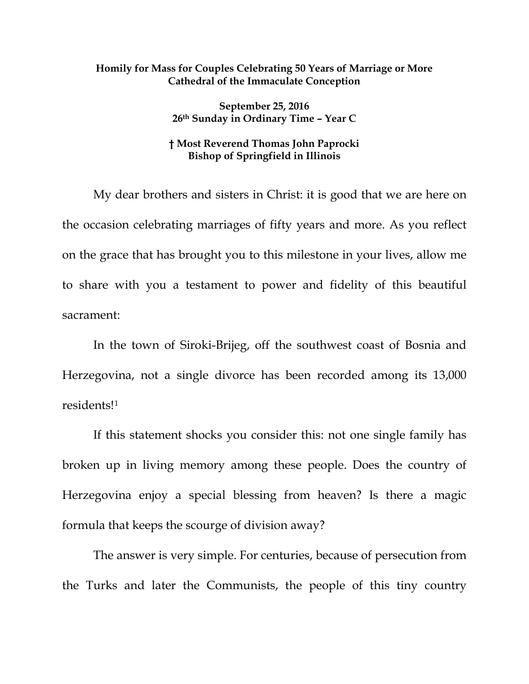## **Homily for Mass for Couples Celebrating 50 Years of Marriage or More Cathedral of the Immaculate Conception**

**September 25, 2016 26th Sunday in Ordinary Time – Year C**

## **† Most Reverend Thomas John Paprocki Bishop of Springfield in Illinois**

My dear brothers and sisters in Christ: it is good that we are here on the occasion celebrating marriages of fifty years and more. As you reflect on the grace that has brought you to this milestone in your lives, allow me to share with you a testament to power and fidelity of this beautiful sacrament:

In the town of Siroki-Brijeg, off the southwest coast of Bosnia and Herzegovina, not a single divorce has been recorded among its 13,000 residents![1](#page-4-0)

If this statement shocks you consider this: not one single family has broken up in living memory among these people. Does the country of Herzegovina enjoy a special blessing from heaven? Is there a magic formula that keeps the scourge of division away?

The answer is very simple. For centuries, because of persecution from the Turks and later the Communists, the people of this tiny country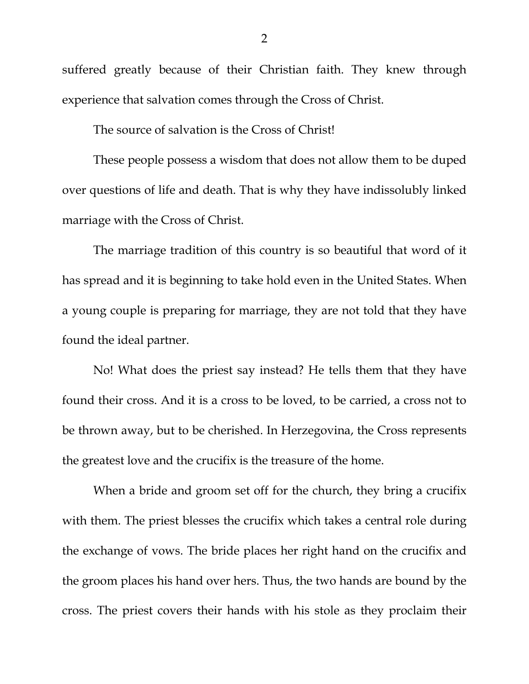suffered greatly because of their Christian faith. They knew through experience that salvation comes through the Cross of Christ.

The source of salvation is the Cross of Christ!

These people possess a wisdom that does not allow them to be duped over questions of life and death. That is why they have indissolubly linked marriage with the Cross of Christ.

The marriage tradition of this country is so beautiful that word of it has spread and it is beginning to take hold even in the United States. When a young couple is preparing for marriage, they are not told that they have found the ideal partner.

No! What does the priest say instead? He tells them that they have found their cross. And it is a cross to be loved, to be carried, a cross not to be thrown away, but to be cherished. In Herzegovina, the Cross represents the greatest love and the crucifix is the treasure of the home.

When a bride and groom set off for the church, they bring a crucifix with them. The priest blesses the crucifix which takes a central role during the exchange of vows. The bride places her right hand on the crucifix and the groom places his hand over hers. Thus, the two hands are bound by the cross. The priest covers their hands with his stole as they proclaim their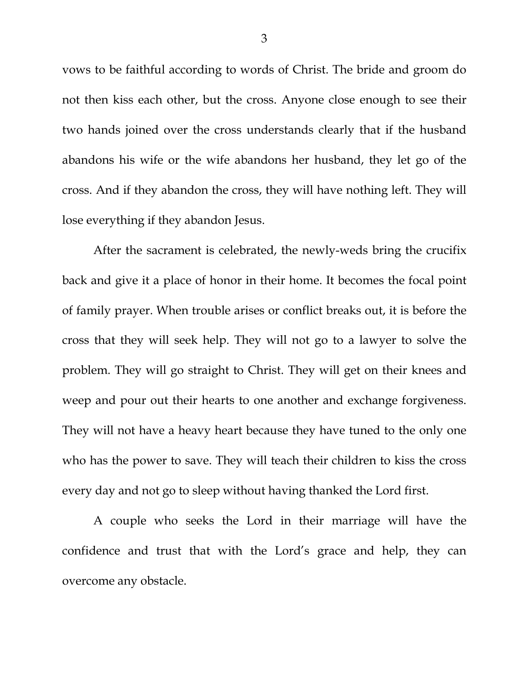vows to be faithful according to words of Christ. The bride and groom do not then kiss each other, but the cross. Anyone close enough to see their two hands joined over the cross understands clearly that if the husband abandons his wife or the wife abandons her husband, they let go of the cross. And if they abandon the cross, they will have nothing left. They will lose everything if they abandon Jesus.

After the sacrament is celebrated, the newly-weds bring the crucifix back and give it a place of honor in their home. It becomes the focal point of family prayer. When trouble arises or conflict breaks out, it is before the cross that they will seek help. They will not go to a lawyer to solve the problem. They will go straight to Christ. They will get on their knees and weep and pour out their hearts to one another and exchange forgiveness. They will not have a heavy heart because they have tuned to the only one who has the power to save. They will teach their children to kiss the cross every day and not go to sleep without having thanked the Lord first.

A couple who seeks the Lord in their marriage will have the confidence and trust that with the Lord's grace and help, they can overcome any obstacle.

3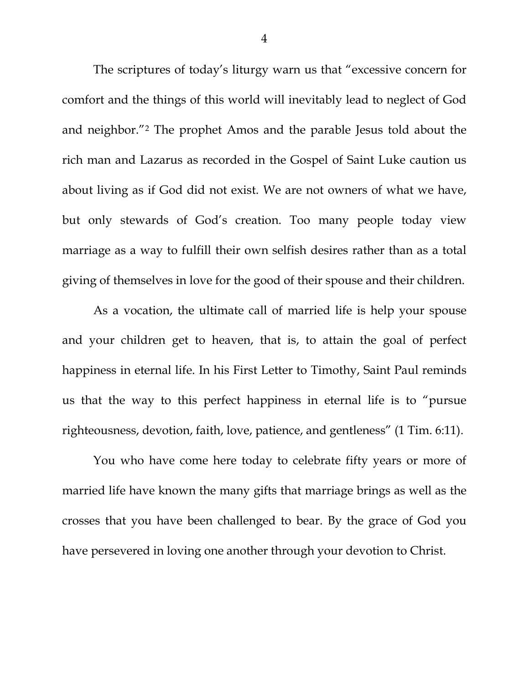The scriptures of today's liturgy warn us that "excessive concern for comfort and the things of this world will inevitably lead to neglect of God and neighbor."[2](#page-4-1) The prophet Amos and the parable Jesus told about the rich man and Lazarus as recorded in the Gospel of Saint Luke caution us about living as if God did not exist. We are not owners of what we have, but only stewards of God's creation. Too many people today view marriage as a way to fulfill their own selfish desires rather than as a total giving of themselves in love for the good of their spouse and their children.

As a vocation, the ultimate call of married life is help your spouse and your children get to heaven, that is, to attain the goal of perfect happiness in eternal life. In his First Letter to Timothy, Saint Paul reminds us that the way to this perfect happiness in eternal life is to "pursue righteousness, devotion, faith, love, patience, and gentleness" (1 Tim. 6:11).

You who have come here today to celebrate fifty years or more of married life have known the many gifts that marriage brings as well as the crosses that you have been challenged to bear. By the grace of God you have persevered in loving one another through your devotion to Christ.